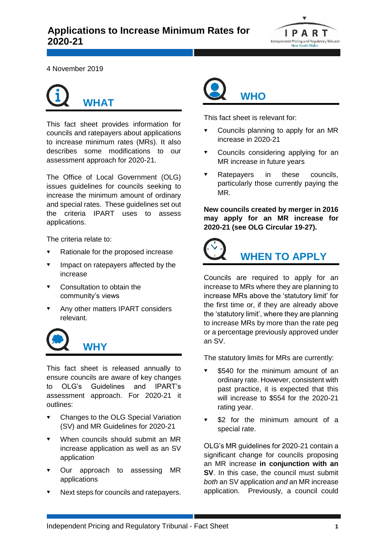

4 November 2019

## **WHAT**

This fact sheet provides information for councils and ratepayers about applications to increase minimum rates (MRs). It also describes some modifications to our assessment approach for 2020-21.

The Office of Local Government (OLG) issues guidelines for councils seeking to increase the minimum amount of ordinary and special rates. These guidelines set out the criteria IPART uses to assess applications.

The criteria relate to:

- Rationale for the proposed increase
- Impact on ratepayers affected by the increase
- Consultation to obtain the community's views
- Any other matters IPART considers relevant.



This fact sheet is released annually to ensure councils are aware of key changes to OLG's Guidelines and IPART's assessment approach. For 2020-21 it outlines:

- **v** Changes to the OLG Special Variation (SV) and MR Guidelines for 2020-21
- When councils should submit an MR increase application as well as an SV application
- Our approach to assessing MR applications
- Next steps for councils and ratepayers.



This fact sheet is relevant for:

- Councils planning to apply for an MR increase in 2020-21
- Councils considering applying for an MR increase in future years
- Ratepayers in these councils, particularly those currently paying the MR.

**New councils created by merger in 2016 may apply for an MR increase for 2020-21 (see OLG Circular 19-27).**



## **WHEN TO APPLY**

Councils are required to apply for an increase to MRs where they are planning to increase MRs above the 'statutory limit' for the first time or, if they are already above the 'statutory limit', where they are planning to increase MRs by more than the rate peg or a percentage previously approved under an SV.

The statutory limits for MRs are currently:

- \$540 for the minimum amount of an ordinary rate. However, consistent with past practice, it is expected that this will increase to \$554 for the 2020-21 rating year.
- \$2 for the minimum amount of a special rate.

OLG's MR guidelines for 2020-21 contain a significant change for councils proposing an MR increase **in conjunction with an SV**. In this case, the council must submit *both* an SV application *and* an MR increase application. Previously, a council could